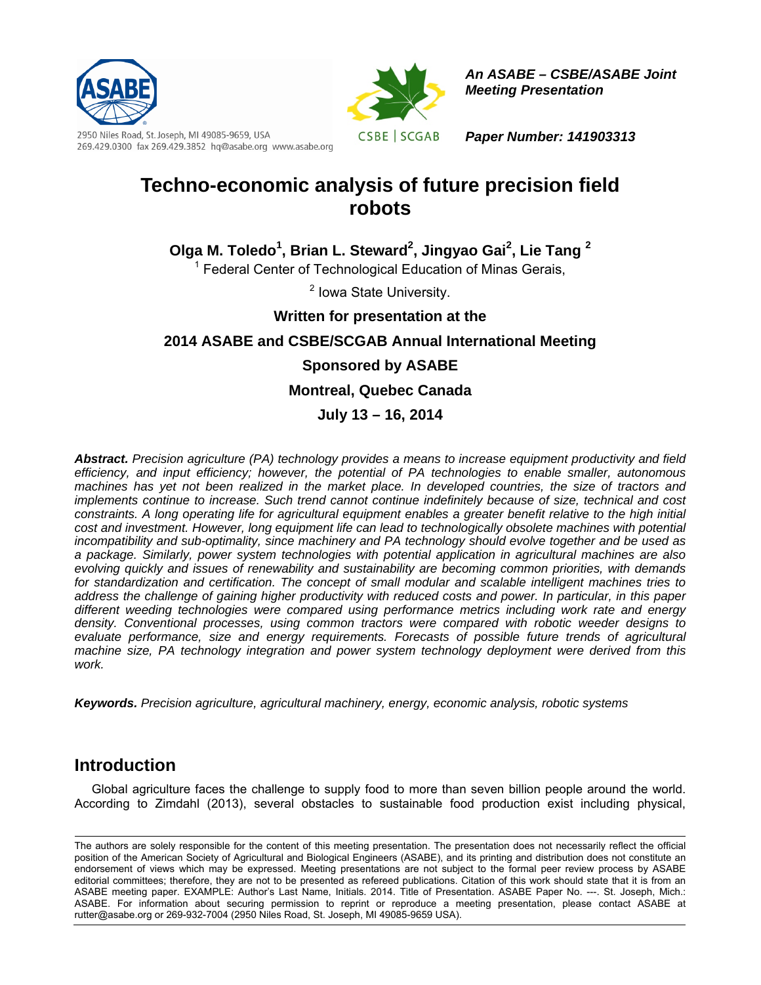



*An ASABE – CSBE/ASABE Joint Meeting Presentation* 

2950 Niles Road, St. Joseph, MI 49085-9659, USA 269.429.0300 fax 269.429.3852 hq@asabe.org www.asabe.org *Paper Number: 141903313* 

# **Techno-economic analysis of future precision field robots**

**Olga M. Toledo1 , Brian L. Steward2 , Jingyao Gai<sup>2</sup> , Lie Tang <sup>2</sup>**

<sup>1</sup> Federal Center of Technological Education of Minas Gerais,

<sup>2</sup> Iowa State University.

**Written for presentation at the** 

**2014 ASABE and CSBE/SCGAB Annual International Meeting** 

## **Sponsored by ASABE**

**Montreal, Quebec Canada** 

**July 13 – 16, 2014** 

*Abstract. Precision agriculture (PA) technology provides a means to increase equipment productivity and field efficiency, and input efficiency; however, the potential of PA technologies to enable smaller, autonomous machines has yet not been realized in the market place. In developed countries, the size of tractors and implements continue to increase. Such trend cannot continue indefinitely because of size, technical and cost constraints. A long operating life for agricultural equipment enables a greater benefit relative to the high initial*  cost and investment. However, long equipment life can lead to technologically obsolete machines with potential *incompatibility and sub-optimality, since machinery and PA technology should evolve together and be used as a package. Similarly, power system technologies with potential application in agricultural machines are also evolving quickly and issues of renewability and sustainability are becoming common priorities, with demands for standardization and certification. The concept of small modular and scalable intelligent machines tries to address the challenge of gaining higher productivity with reduced costs and power. In particular, in this paper different weeding technologies were compared using performance metrics including work rate and energy density. Conventional processes, using common tractors were compared with robotic weeder designs to evaluate performance, size and energy requirements. Forecasts of possible future trends of agricultural machine size, PA technology integration and power system technology deployment were derived from this work.* 

*Keywords. Precision agriculture, agricultural machinery, energy, economic analysis, robotic systems* 

# **Introduction**

 Global agriculture faces the challenge to supply food to more than seven billion people around the world. According to Zimdahl (2013), several obstacles to sustainable food production exist including physical,

The authors are solely responsible for the content of this meeting presentation. The presentation does not necessarily reflect the official position of the American Society of Agricultural and Biological Engineers (ASABE), and its printing and distribution does not constitute an endorsement of views which may be expressed. Meeting presentations are not subject to the formal peer review process by ASABE editorial committees; therefore, they are not to be presented as refereed publications. Citation of this work should state that it is from an ASABE meeting paper. EXAMPLE: Author's Last Name, Initials. 2014. Title of Presentation. ASABE Paper No. ---. St. Joseph, Mich.: ASABE. For information about securing permission to reprint or reproduce a meeting presentation, please contact ASABE at rutter@asabe.org or 269-932-7004 (2950 Niles Road, St. Joseph, MI 49085-9659 USA).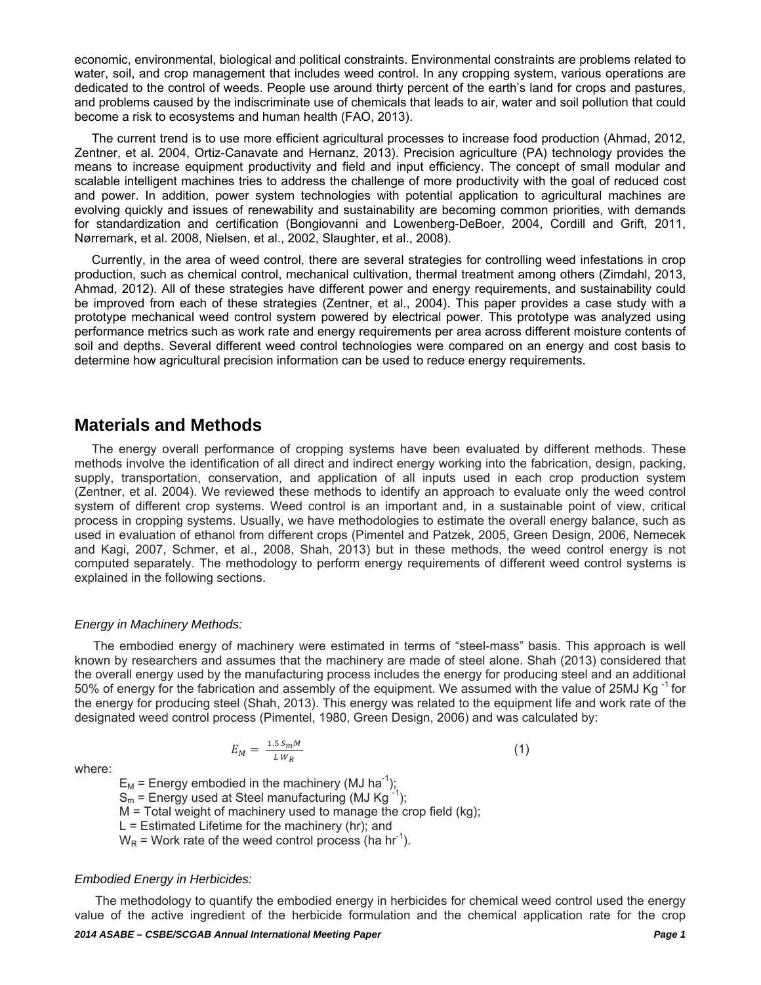economic, environmental, biological and political constraints. Environmental constraints are problems related to water, soil, and crop management that includes weed control. In any cropping system, various operations are dedicated to the control of weeds. People use around thirty percent of the earth's land for crops and pastures, and problems caused by the indiscriminate use of chemicals that leads to air, water and soil pollution that could become a risk to ecosystems and human health (FAO, 2013).

 The current trend is to use more efficient agricultural processes to increase food production (Ahmad, 2012, Zentner, et al. 2004, Ortiz-Canavate and Hernanz, 2013). Precision agriculture (PA) technology provides the means to increase equipment productivity and field and input efficiency. The concept of small modular and scalable intelligent machines tries to address the challenge of more productivity with the goal of reduced cost and power. In addition, power system technologies with potential application to agricultural machines are evolving quickly and issues of renewability and sustainability are becoming common priorities, with demands for standardization and certification (Bongiovanni and Lowenberg-DeBoer, 2004, Cordill and Grift, 2011, Nørremark, et al. 2008, Nielsen, et al., 2002, Slaughter, et al., 2008).

 Currently, in the area of weed control, there are several strategies for controlling weed infestations in crop production, such as chemical control, mechanical cultivation, thermal treatment among others (Zimdahl, 2013, Ahmad, 2012). All of these strategies have different power and energy requirements, and sustainability could be improved from each of these strategies (Zentner, et al., 2004). This paper provides a case study with a prototype mechanical weed control system powered by electrical power. This prototype was analyzed using performance metrics such as work rate and energy requirements per area across different moisture contents of soil and depths. Several different weed control technologies were compared on an energy and cost basis to determine how agricultural precision information can be used to reduce energy requirements.

### **Materials and Methods**

 The energy overall performance of cropping systems have been evaluated by different methods. These methods involve the identification of all direct and indirect energy working into the fabrication, design, packing, supply, transportation, conservation, and application of all inputs used in each crop production system (Zentner, et al. 2004). We reviewed these methods to identify an approach to evaluate only the weed control system of different crop systems. Weed control is an important and, in a sustainable point of view, critical process in cropping systems. Usually, we have methodologies to estimate the overall energy balance, such as used in evaluation of ethanol from different crops (Pimentel and Patzek, 2005, Green Design, 2006, Nemecek and Kagi, 2007, Schmer, et al., 2008, Shah, 2013) but in these methods, the weed control energy is not computed separately. The methodology to perform energy requirements of different weed control systems is explained in the following sections.

### *Energy in Machinery Methods:*

 The embodied energy of machinery were estimated in terms of "steel-mass" basis. This approach is well known by researchers and assumes that the machinery are made of steel alone. Shah (2013) considered that the overall energy used by the manufacturing process includes the energy for producing steel and an additional 50% of energy for the fabrication and assembly of the equipment. We assumed with the value of 25MJ Kg<sup>-1</sup> for the energy for producing steel (Shah, 2013). This energy was related to the equipment life and work rate of the designated weed control process (Pimentel, 1980, Green Design, 2006) and was calculated by:

$$
E_M = \frac{1.5 \, S_m M}{L \, W_R} \tag{1}
$$

where:

 $E_M$  = Energy embodied in the machinery (MJ ha<sup>-1</sup>);  $S_m$  = Energy used at Steel manufacturing (MJ Kg<sup>-1</sup>); M = Total weight of machinery used to manage the crop field (kg);  $L =$  Estimated Lifetime for the machinery (hr); and  $W_R$  = Work rate of the weed control process (ha hr<sup>-1</sup>).

### *Embodied Energy in Herbicides:*

 The methodology to quantify the embodied energy in herbicides for chemical weed control used the energy value of the active ingredient of the herbicide formulation and the chemical application rate for the crop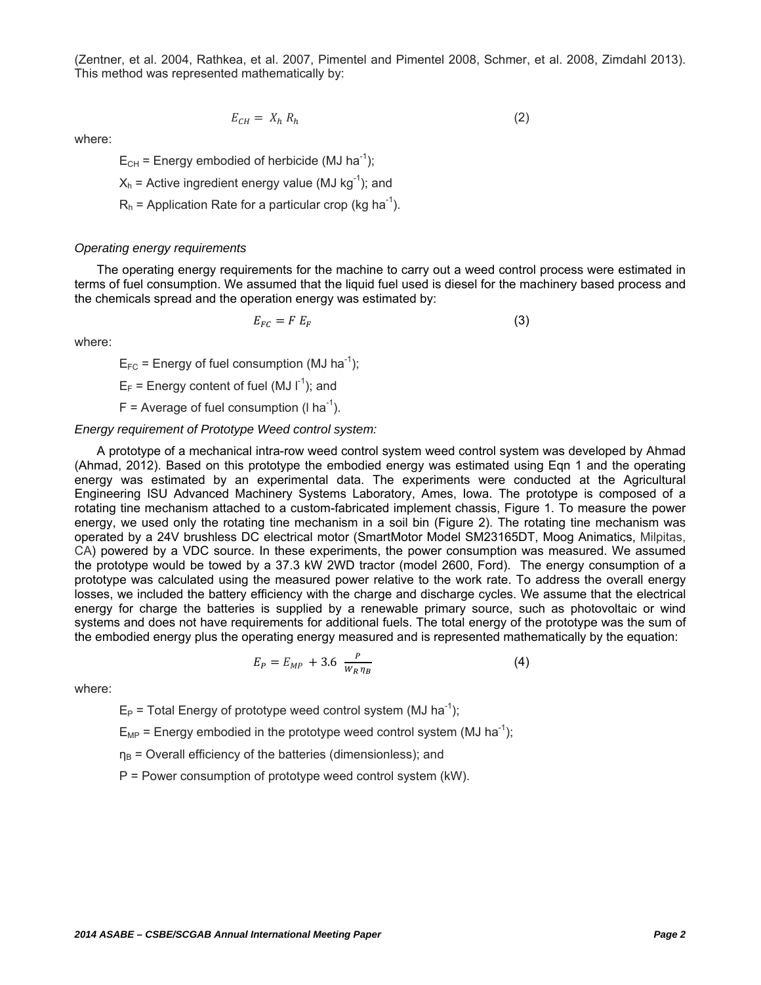(Zentner, et al. 2004, Rathkea, et al. 2007, Pimentel and Pimentel 2008, Schmer, et al. 2008, Zimdahl 2013). This method was represented mathematically by:

$$
E_{CH} = X_h R_h \tag{2}
$$

where:

 $E_{CH}$  = Energy embodied of herbicide (MJ ha<sup>-1</sup>);

 $X_h$  = Active ingredient energy value (MJ kg<sup>-1</sup>); and

 $R_h$  = Application Rate for a particular crop (kg ha<sup>-1</sup>).

#### *Operating energy requirements*

The operating energy requirements for the machine to carry out a weed control process were estimated in terms of fuel consumption. We assumed that the liquid fuel used is diesel for the machinery based process and the chemicals spread and the operation energy was estimated by:

$$
E_{FC} = F E_F \tag{3}
$$

where:

 $E_{FC}$  = Energy of fuel consumption (MJ ha<sup>-1</sup>);

 $E_F$  = Energy content of fuel (MJ  $I^{-1}$ ); and

 $F =$  Average of fuel consumption (I ha<sup>-1</sup>).

#### *Energy requirement of Prototype Weed control system:*

A prototype of a mechanical intra-row weed control system weed control system was developed by Ahmad (Ahmad, 2012). Based on this prototype the embodied energy was estimated using Eqn 1 and the operating energy was estimated by an experimental data. The experiments were conducted at the Agricultural Engineering ISU Advanced Machinery Systems Laboratory, Ames, Iowa. The prototype is composed of a rotating tine mechanism attached to a custom-fabricated implement chassis, Figure 1. To measure the power energy, we used only the rotating tine mechanism in a soil bin (Figure 2). The rotating tine mechanism was operated by a 24V brushless DC electrical motor (SmartMotor Model SM23165DT, Moog Animatics, Milpitas, CA) powered by a VDC source. In these experiments, the power consumption was measured. We assumed the prototype would be towed by a 37.3 kW 2WD tractor (model 2600, Ford). The energy consumption of a prototype was calculated using the measured power relative to the work rate. To address the overall energy losses, we included the battery efficiency with the charge and discharge cycles. We assume that the electrical energy for charge the batteries is supplied by a renewable primary source, such as photovoltaic or wind systems and does not have requirements for additional fuels. The total energy of the prototype was the sum of the embodied energy plus the operating energy measured and is represented mathematically by the equation:

$$
E_P = E_{MP} + 3.6 \frac{P}{W_R \eta_B}
$$
 (4)

where:

 $E_P$  = Total Energy of prototype weed control system (MJ ha<sup>-1</sup>);

 $E_{MP}$  = Energy embodied in the prototype weed control system (MJ ha<sup>-1</sup>);

 $\eta_B$  = Overall efficiency of the batteries (dimensionless); and

P = Power consumption of prototype weed control system (kW).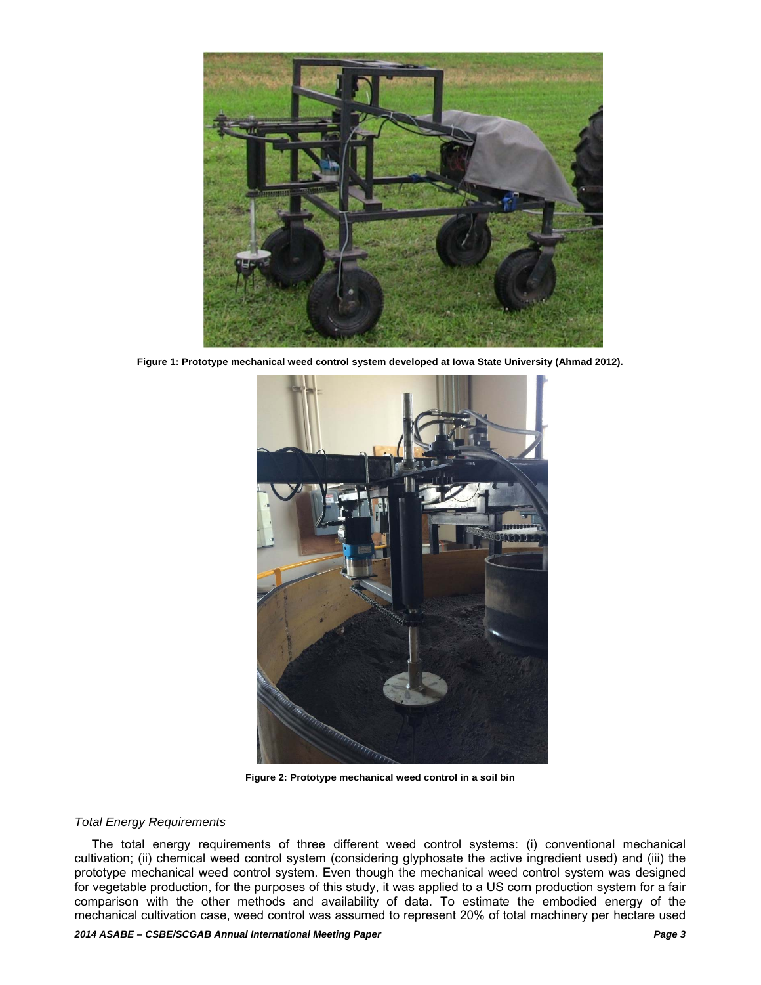

**Figure 1: Prototype mechanical weed control system developed at Iowa State University (Ahmad 2012).** 



**Figure 2: Prototype mechanical weed control in a soil bin** 

### *Total Energy Requirements*

 The total energy requirements of three different weed control systems: (i) conventional mechanical cultivation; (ii) chemical weed control system (considering glyphosate the active ingredient used) and (iii) the prototype mechanical weed control system. Even though the mechanical weed control system was designed for vegetable production, for the purposes of this study, it was applied to a US corn production system for a fair comparison with the other methods and availability of data. To estimate the embodied energy of the mechanical cultivation case, weed control was assumed to represent 20% of total machinery per hectare used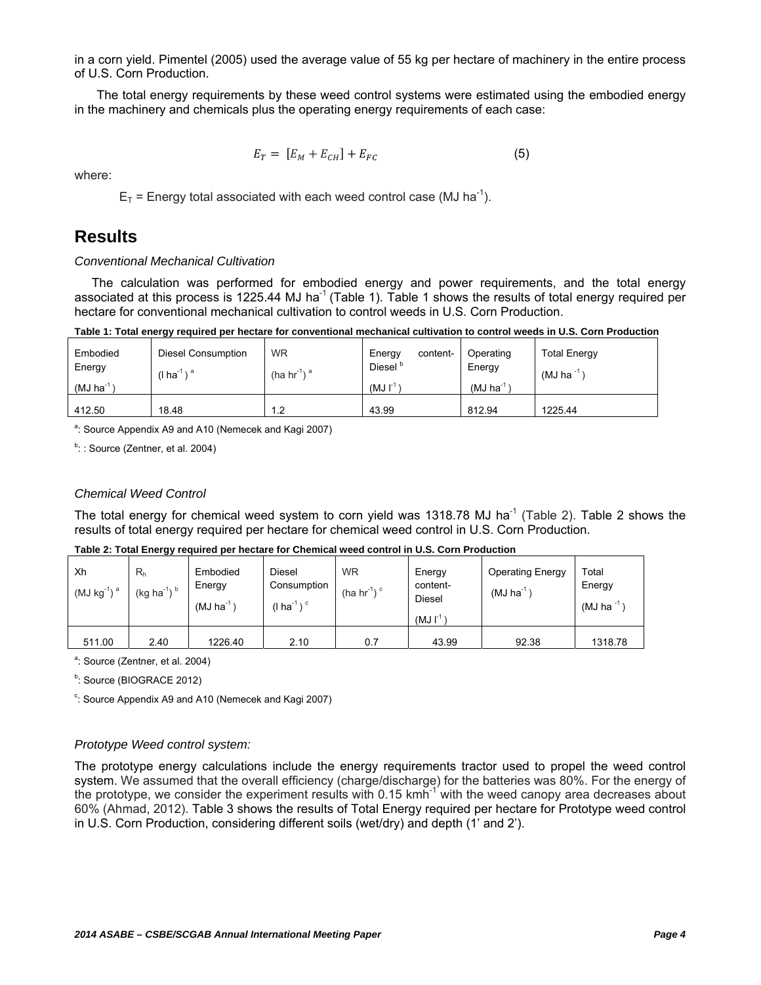in a corn yield. Pimentel (2005) used the average value of 55 kg per hectare of machinery in the entire process of U.S. Corn Production.

The total energy requirements by these weed control systems were estimated using the embodied energy in the machinery and chemicals plus the operating energy requirements of each case:

$$
E_T = [E_M + E_{CH}] + E_{FC}
$$
\n
$$
(5)
$$

where:

 $E_T$  = Energy total associated with each weed control case (MJ ha<sup>-1</sup>).

### **Results**

### *Conventional Mechanical Cultivation*

 The calculation was performed for embodied energy and power requirements, and the total energy associated at this process is 1225.44 MJ ha<sup>-1</sup> (Table 1). Table 1 shows the results of total energy required per hectare for conventional mechanical cultivation to control weeds in U.S. Corn Production.

**Table 1: Total energy required per hectare for conventional mechanical cultivation to control weeds in U.S. Corn Production** 

| Embodied<br>Energy      | Diesel Consumption<br>(I ha $^{-1}$ ) $^a$ | <b>WR</b><br>(ha hr <sup>1</sup> ) <sup>a</sup> | Energy<br>content-<br>Diesel <sup>p</sup> | Operating<br>Energy     | <b>Total Energy</b><br>$(MJ)$ ha <sup>-1</sup> |  |
|-------------------------|--------------------------------------------|-------------------------------------------------|-------------------------------------------|-------------------------|------------------------------------------------|--|
| $(MJ)$ ha <sup>-1</sup> |                                            |                                                 | $(MJ)$ <sup>-1</sup>                      | $(MJ)$ ha <sup>-1</sup> |                                                |  |
| 412.50                  | 18.48                                      | 1.2                                             | 43.99                                     | 812.94                  | 1225.44                                        |  |

<sup>a</sup>: Source Appendix A9 and A10 (Nemecek and Kagi 2007)

 $b$ : : Source (Zentner, et al. 2004)

### *Chemical Weed Control*

The total energy for chemical weed system to corn yield was 1318.78 MJ ha<sup>-1</sup> (Table 2). Table 2 shows the results of total energy required per hectare for chemical weed control in U.S. Corn Production.

| Xh<br>$(MJ kg-1)a$ | R <sub>h</sub><br>$(kg ha-1)b$ | Embodied<br>Energy<br>$(MJ)$ ha $^{-1}$ | Diesel<br>Consumption<br>(I ha $^{\text{-}1}$ ) $^{\text{c}}$ | <b>WR</b><br>(ha $hr^{-1}$ ) <sup>c</sup> | Energy<br>content-<br>Diesel<br>$(MJ)$ <sup>-1</sup> | <b>Operating Energy</b><br>$(MJ)$ ha <sup>-1</sup> | Total<br>Energy<br>$(MJ)$ ha <sup>-1</sup> ) |
|--------------------|--------------------------------|-----------------------------------------|---------------------------------------------------------------|-------------------------------------------|------------------------------------------------------|----------------------------------------------------|----------------------------------------------|
| 511.00             | 2.40                           | 1226.40                                 | 2.10                                                          | 0.7                                       | 43.99                                                | 92.38                                              | 1318.78                                      |

**Table 2: Total Energy required per hectare for Chemical weed control in U.S. Corn Production** 

<sup>a</sup>: Source (Zentner, et al. 2004)

<sup>b</sup>: Source (BIOGRACE 2012)

<sup>c</sup>: Source Appendix A9 and A10 (Nemecek and Kagi 2007)

### *Prototype Weed control system:*

The prototype energy calculations include the energy requirements tractor used to propel the weed control system. We assumed that the overall efficiency (charge/discharge) for the batteries was 80%. For the energy of the prototype, we consider the experiment results with 0.15 kmh<sup>-1</sup> with the weed canopy area decreases about 60% (Ahmad, 2012). Table 3 shows the results of Total Energy required per hectare for Prototype weed control in U.S. Corn Production, considering different soils (wet/dry) and depth (1' and 2').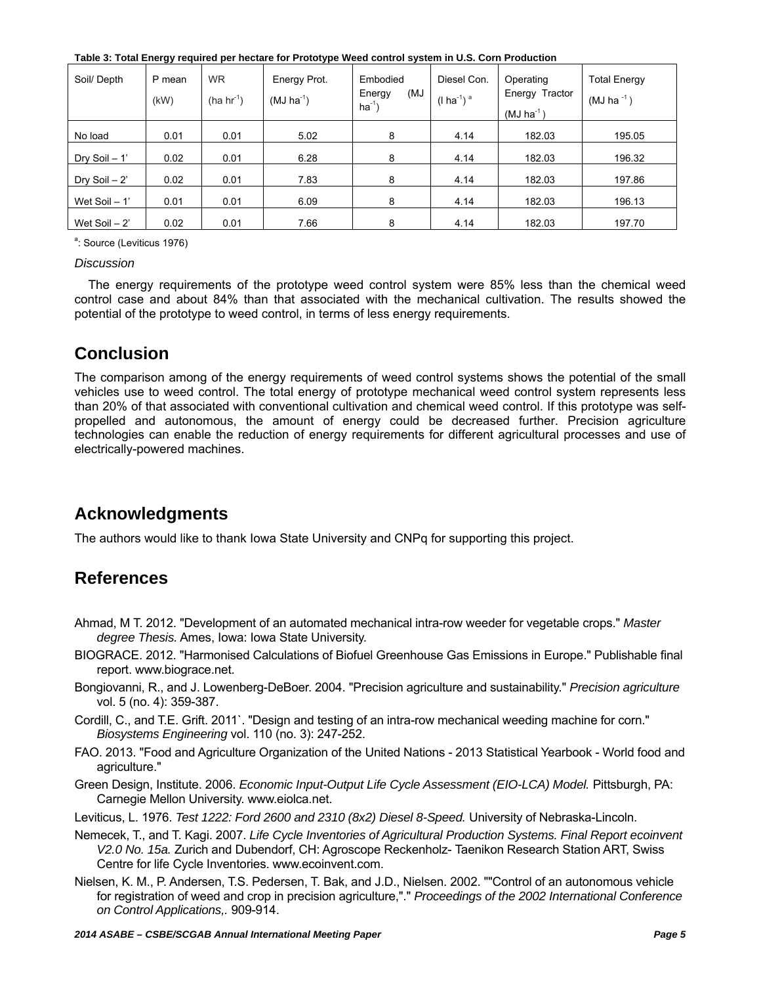**Table 3: Total Energy required per hectare for Prototype Weed control system in U.S. Corn Production** 

| Soil/ Depth     | P mean<br>(kW) | <b>WR</b><br>$(ha hr-1)$ | Energy Prot.<br>$(MJ ha^{-1})$ | Embodied<br>(MJ<br>Energy<br>$ha^{-1}$ | Diesel Con.<br>$(1 ha^{-1})$ <sup>a</sup> | Operating<br>Energy Tractor<br>$(MJ ha^{-1})$ | <b>Total Energy</b><br>$(MJ)$ ha <sup>-1</sup> ) |
|-----------------|----------------|--------------------------|--------------------------------|----------------------------------------|-------------------------------------------|-----------------------------------------------|--------------------------------------------------|
| No load         | 0.01           | 0.01                     | 5.02                           | 8                                      | 4.14                                      | 182.03                                        | 195.05                                           |
| Dry Soil $-1$ ' | 0.02           | 0.01                     | 6.28                           | 8                                      | 4.14                                      | 182.03                                        | 196.32                                           |
| Dry Soil $-2$ ' | 0.02           | 0.01                     | 7.83                           | 8                                      | 4.14                                      | 182.03                                        | 197.86                                           |
| Wet Soil - 1'   | 0.01           | 0.01                     | 6.09                           | 8                                      | 4.14                                      | 182.03                                        | 196.13                                           |
| Wet Soil $-2$ ' | 0.02           | 0.01                     | 7.66                           | 8                                      | 4.14                                      | 182.03                                        | 197.70                                           |

<sup>a</sup>: Source (Leviticus 1976)

### *Discussion*

 The energy requirements of the prototype weed control system were 85% less than the chemical weed control case and about 84% than that associated with the mechanical cultivation. The results showed the potential of the prototype to weed control, in terms of less energy requirements.

# **Conclusion**

The comparison among of the energy requirements of weed control systems shows the potential of the small vehicles use to weed control. The total energy of prototype mechanical weed control system represents less than 20% of that associated with conventional cultivation and chemical weed control. If this prototype was selfpropelled and autonomous, the amount of energy could be decreased further. Precision agriculture technologies can enable the reduction of energy requirements for different agricultural processes and use of electrically-powered machines.

# **Acknowledgments**

The authors would like to thank Iowa State University and CNPq for supporting this project.

# **References**

- Ahmad, M T. 2012. "Development of an automated mechanical intra-row weeder for vegetable crops." *Master degree Thesis.* Ames, Iowa: Iowa State University.
- BIOGRACE. 2012. "Harmonised Calculations of Biofuel Greenhouse Gas Emissions in Europe." Publishable final report. www.biograce.net.
- Bongiovanni, R., and J. Lowenberg-DeBoer. 2004. "Precision agriculture and sustainability." *Precision agriculture* vol. 5 (no. 4): 359-387.
- Cordill, C., and T.E. Grift. 2011`. "Design and testing of an intra-row mechanical weeding machine for corn." *Biosystems Engineering* vol. 110 (no. 3): 247-252.
- FAO. 2013. "Food and Agriculture Organization of the United Nations 2013 Statistical Yearbook World food and agriculture."
- Green Design, Institute. 2006. *Economic Input-Output Life Cycle Assessment (EIO-LCA) Model.* Pittsburgh, PA: Carnegie Mellon University. www.eiolca.net.
- Leviticus, L. 1976. *Test 1222: Ford 2600 and 2310 (8x2) Diesel 8-Speed.* University of Nebraska-Lincoln.
- Nemecek, T., and T. Kagi. 2007. *Life Cycle Inventories of Agricultural Production Systems. Final Report ecoinvent V2.0 No. 15a.* Zurich and Dubendorf, CH: Agroscope Reckenholz- Taenikon Research Station ART, Swiss Centre for life Cycle Inventories. www.ecoinvent.com.
- Nielsen, K. M., P. Andersen, T.S. Pedersen, T. Bak, and J.D., Nielsen. 2002. ""Control of an autonomous vehicle for registration of weed and crop in precision agriculture,"." *Proceedings of the 2002 International Conference on Control Applications,.* 909-914.